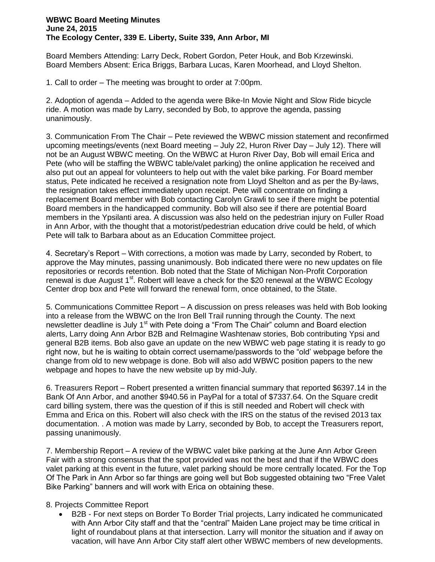## **WBWC Board Meeting Minutes June 24, 2015 The Ecology Center, 339 E. Liberty, Suite 339, Ann Arbor, MI**

Board Members Attending: Larry Deck, Robert Gordon, Peter Houk, and Bob Krzewinski. Board Members Absent: Erica Briggs, Barbara Lucas, Karen Moorhead, and Lloyd Shelton.

1. Call to order – The meeting was brought to order at 7:00pm.

2. Adoption of agenda – Added to the agenda were Bike-In Movie Night and Slow Ride bicycle ride. A motion was made by Larry, seconded by Bob, to approve the agenda, passing unanimously.

3. Communication From The Chair – Pete reviewed the WBWC mission statement and reconfirmed upcoming meetings/events (next Board meeting – July 22, Huron River Day – July 12). There will not be an August WBWC meeting. On the WBWC at Huron River Day, Bob will email Erica and Pete (who will be staffing the WBWC table/valet parking) the online application he received and also put out an appeal for volunteers to help out with the valet bike parking. For Board member status, Pete indicated he received a resignation note from Lloyd Shelton and as per the By-laws, the resignation takes effect immediately upon receipt. Pete will concentrate on finding a replacement Board member with Bob contacting Carolyn Grawli to see if there might be potential Board members in the handicapped community. Bob will also see if there are potential Board members in the Ypsilanti area. A discussion was also held on the pedestrian injury on Fuller Road in Ann Arbor, with the thought that a motorist/pedestrian education drive could be held, of which Pete will talk to Barbara about as an Education Committee project.

4. Secretary's Report – With corrections, a motion was made by Larry, seconded by Robert, to approve the May minutes, passing unanimously. Bob indicated there were no new updates on file repositories or records retention. Bob noted that the State of Michigan Non-Profit Corporation renewal is due August  $1<sup>st</sup>$ . Robert will leave a check for the \$20 renewal at the WBWC Ecology Center drop box and Pete will forward the renewal form, once obtained, to the State.

5. Communications Committee Report – A discussion on press releases was held with Bob looking into a release from the WBWC on the Iron Bell Trail running through the County. The next newsletter deadline is July 1<sup>st</sup> with Pete doing a "From The Chair" column and Board election alerts, Larry doing Ann Arbor B2B and ReImagine Washtenaw stories, Bob contributing Ypsi and general B2B items. Bob also gave an update on the new WBWC web page stating it is ready to go right now, but he is waiting to obtain correct username/passwords to the "old' webpage before the change from old to new webpage is done. Bob will also add WBWC position papers to the new webpage and hopes to have the new website up by mid-July.

6. Treasurers Report – Robert presented a written financial summary that reported \$6397.14 in the Bank Of Ann Arbor, and another \$940.56 in PayPal for a total of \$7337.64. On the Square credit card billing system, there was the question of if this is still needed and Robert will check with Emma and Erica on this. Robert will also check with the IRS on the status of the revised 2013 tax documentation. . A motion was made by Larry, seconded by Bob, to accept the Treasurers report, passing unanimously.

7. Membership Report – A review of the WBWC valet bike parking at the June Ann Arbor Green Fair with a strong consensus that the spot provided was not the best and that if the WBWC does valet parking at this event in the future, valet parking should be more centrally located. For the Top Of The Park in Ann Arbor so far things are going well but Bob suggested obtaining two "Free Valet Bike Parking" banners and will work with Erica on obtaining these.

## 8. Projects Committee Report<br>B2B - For next steps of

 B2B - For next steps on Border To Border Trial projects, Larry indicated he communicated with Ann Arbor City staff and that the "central" Maiden Lane project may be time critical in light of roundabout plans at that intersection. Larry will monitor the situation and if away on vacation, will have Ann Arbor City staff alert other WBWC members of new developments.